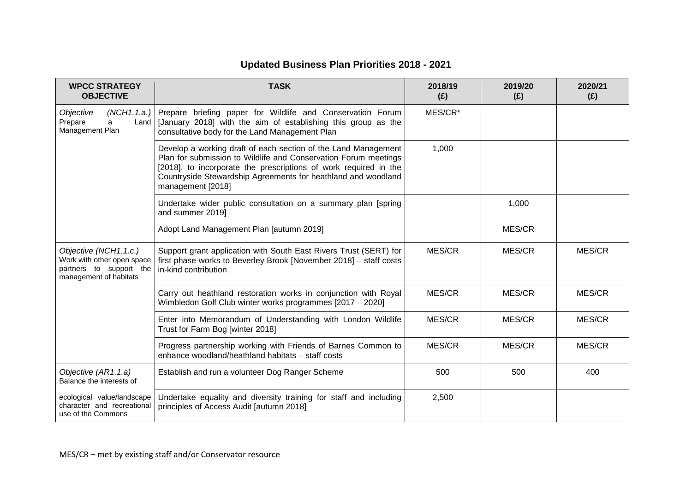| <b>WPCC STRATEGY</b><br><b>OBJECTIVE</b>                                                                 | <b>TASK</b>                                                                                                                                                                                                                                                                                 | 2018/19<br>(E) | 2019/20<br>(E) | 2020/21<br>(E) |
|----------------------------------------------------------------------------------------------------------|---------------------------------------------------------------------------------------------------------------------------------------------------------------------------------------------------------------------------------------------------------------------------------------------|----------------|----------------|----------------|
| Objective<br>Prepare<br>a<br>Management Plan                                                             | (NCH1.1.a.) Prepare briefing paper for Wildlife and Conservation Forum<br>Land   [January 2018] with the aim of establishing this group as the<br>consultative body for the Land Management Plan                                                                                            | MES/CR*        |                |                |
|                                                                                                          | Develop a working draft of each section of the Land Management<br>Plan for submission to Wildlife and Conservation Forum meetings<br>[2018], to incorporate the prescriptions of work required in the<br>Countryside Stewardship Agreements for heathland and woodland<br>management [2018] | 1,000          |                |                |
|                                                                                                          | Undertake wider public consultation on a summary plan [spring<br>and summer 2019]                                                                                                                                                                                                           |                | 1,000          |                |
|                                                                                                          | Adopt Land Management Plan [autumn 2019]                                                                                                                                                                                                                                                    |                | MES/CR         |                |
| Objective (NCH1.1.c.)<br>Work with other open space<br>partners to support the<br>management of habitats | Support grant application with South East Rivers Trust (SERT) for<br>first phase works to Beverley Brook [November 2018] - staff costs<br>in-kind contribution                                                                                                                              | MES/CR         | MES/CR         | MES/CR         |
|                                                                                                          | Carry out heathland restoration works in conjunction with Royal<br>Wimbledon Golf Club winter works programmes [2017 - 2020]                                                                                                                                                                | MES/CR         | MES/CR         | MES/CR         |
|                                                                                                          | Enter into Memorandum of Understanding with London Wildlife<br>Trust for Farm Bog [winter 2018]                                                                                                                                                                                             | MES/CR         | MES/CR         | MES/CR         |
|                                                                                                          | Progress partnership working with Friends of Barnes Common to<br>enhance woodland/heathland habitats - staff costs                                                                                                                                                                          | MES/CR         | MES/CR         | MES/CR         |
| Objective (AR1.1.a)<br>Balance the interests of                                                          | Establish and run a volunteer Dog Ranger Scheme                                                                                                                                                                                                                                             | 500            | 500            | 400            |
| ecological value/landscape<br>character and recreational<br>use of the Commons                           | Undertake equality and diversity training for staff and including<br>principles of Access Audit [autumn 2018]                                                                                                                                                                               | 2,500          |                |                |

## **Updated Business Plan Priorities 2018 - 2021**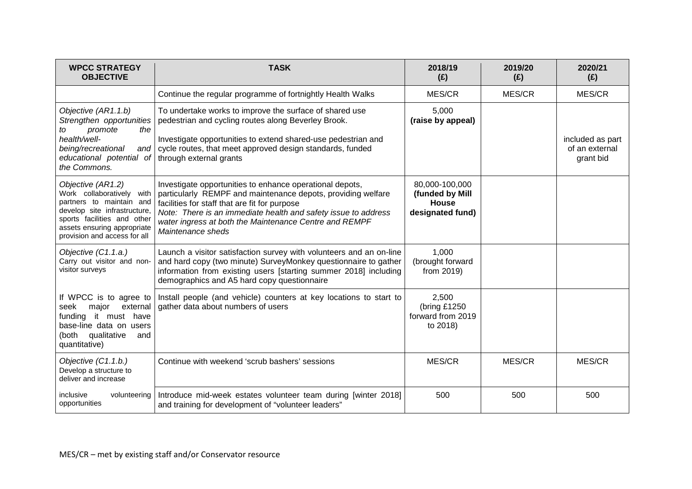| <b>WPCC STRATEGY</b><br><b>OBJECTIVE</b>                                                                                                                                                                 | <b>TASK</b>                                                                                                                                                                                                                                                                                                                | 2018/19<br>(E)                                                 | 2019/20<br>(E) | 2020/21<br>(E)                                  |
|----------------------------------------------------------------------------------------------------------------------------------------------------------------------------------------------------------|----------------------------------------------------------------------------------------------------------------------------------------------------------------------------------------------------------------------------------------------------------------------------------------------------------------------------|----------------------------------------------------------------|----------------|-------------------------------------------------|
|                                                                                                                                                                                                          | Continue the regular programme of fortnightly Health Walks                                                                                                                                                                                                                                                                 | MES/CR                                                         | MES/CR         | MES/CR                                          |
| Objective (AR1.1.b)<br>Strengthen opportunities<br>the<br>promote<br>to<br>health/well-<br>being/recreational<br>and l<br>educational potential of through external grants<br>the Commons.               | To undertake works to improve the surface of shared use<br>pedestrian and cycling routes along Beverley Brook.<br>Investigate opportunities to extend shared-use pedestrian and<br>cycle routes, that meet approved design standards, funded                                                                               | 5,000<br>(raise by appeal)                                     |                | included as part<br>of an external<br>grant bid |
| Objective (AR1.2)<br>Work collaboratively with<br>partners to maintain and<br>develop site infrastructure,<br>sports facilities and other<br>assets ensuring appropriate<br>provision and access for all | Investigate opportunities to enhance operational depots,<br>particularly REMPF and maintenance depots, providing welfare<br>facilities for staff that are fit for purpose<br>Note: There is an immediate health and safety issue to address<br>water ingress at both the Maintenance Centre and REMPF<br>Maintenance sheds | 80,000-100,000<br>(funded by Mill<br>House<br>designated fund) |                |                                                 |
| Objective (C1.1.a.)<br>Carry out visitor and non-<br>visitor surveys                                                                                                                                     | Launch a visitor satisfaction survey with volunteers and an on-line<br>and hard copy (two minute) SurveyMonkey questionnaire to gather<br>information from existing users [starting summer 2018] including<br>demographics and A5 hard copy questionnaire                                                                  | 1,000<br>(brought forward<br>from 2019)                        |                |                                                 |
| external<br>major<br>seek<br>funding it must have<br>base-line data on users<br>(both qualitative<br>and<br>quantitative)                                                                                | If WPCC is to agree to   Install people (and vehicle) counters at key locations to start to<br>gather data about numbers of users                                                                                                                                                                                          | 2,500<br>(bring £1250<br>forward from 2019<br>to 2018)         |                |                                                 |
| Objective (C1.1.b.)<br>Develop a structure to<br>deliver and increase                                                                                                                                    | Continue with weekend 'scrub bashers' sessions                                                                                                                                                                                                                                                                             | MES/CR                                                         | MES/CR         | MES/CR                                          |
| inclusive<br>volunteering<br>opportunities                                                                                                                                                               | Introduce mid-week estates volunteer team during [winter 2018]<br>and training for development of "volunteer leaders"                                                                                                                                                                                                      | 500                                                            | 500            | 500                                             |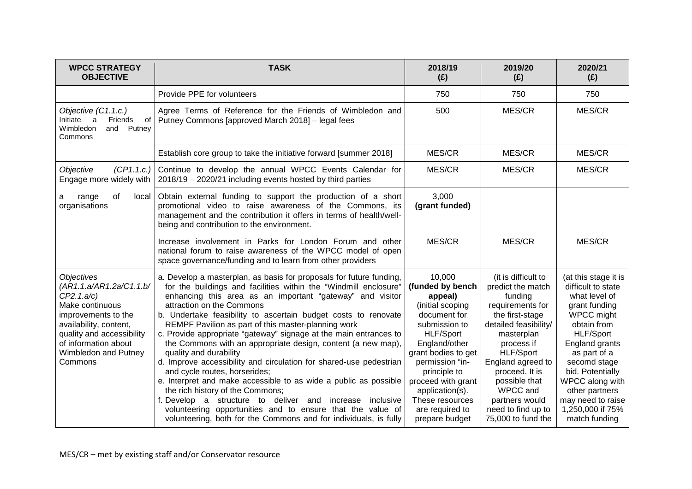| <b>WPCC STRATEGY</b><br><b>OBJECTIVE</b>                                                                                                                                                                               | <b>TASK</b>                                                                                                                                                                                                                                                                                                                                                                                                                                                                                                                                                                                                                                                                                                                                                                                                                                                                                                                               | 2018/19<br>(E)                                                                                                                                                                                                                                                                             | 2019/20<br>(E)                                                                                                                                                                                                                                                                                        | 2020/21<br>(E)                                                                                                                                                                                                                                                                                     |
|------------------------------------------------------------------------------------------------------------------------------------------------------------------------------------------------------------------------|-------------------------------------------------------------------------------------------------------------------------------------------------------------------------------------------------------------------------------------------------------------------------------------------------------------------------------------------------------------------------------------------------------------------------------------------------------------------------------------------------------------------------------------------------------------------------------------------------------------------------------------------------------------------------------------------------------------------------------------------------------------------------------------------------------------------------------------------------------------------------------------------------------------------------------------------|--------------------------------------------------------------------------------------------------------------------------------------------------------------------------------------------------------------------------------------------------------------------------------------------|-------------------------------------------------------------------------------------------------------------------------------------------------------------------------------------------------------------------------------------------------------------------------------------------------------|----------------------------------------------------------------------------------------------------------------------------------------------------------------------------------------------------------------------------------------------------------------------------------------------------|
|                                                                                                                                                                                                                        | Provide PPE for volunteers                                                                                                                                                                                                                                                                                                                                                                                                                                                                                                                                                                                                                                                                                                                                                                                                                                                                                                                | 750                                                                                                                                                                                                                                                                                        | 750                                                                                                                                                                                                                                                                                                   | 750                                                                                                                                                                                                                                                                                                |
| Objective (C1.1.c.)<br>Initiate<br>Friends<br>a<br>of<br>Wimbledon<br>and<br>Putney<br>Commons                                                                                                                         | Agree Terms of Reference for the Friends of Wimbledon and<br>Putney Commons [approved March 2018] - legal fees                                                                                                                                                                                                                                                                                                                                                                                                                                                                                                                                                                                                                                                                                                                                                                                                                            | 500                                                                                                                                                                                                                                                                                        | MES/CR                                                                                                                                                                                                                                                                                                | MES/CR                                                                                                                                                                                                                                                                                             |
|                                                                                                                                                                                                                        | Establish core group to take the initiative forward [summer 2018]                                                                                                                                                                                                                                                                                                                                                                                                                                                                                                                                                                                                                                                                                                                                                                                                                                                                         | MES/CR                                                                                                                                                                                                                                                                                     | MES/CR                                                                                                                                                                                                                                                                                                | MES/CR                                                                                                                                                                                                                                                                                             |
| Objective<br>(CP1.1.c.)<br>Engage more widely with                                                                                                                                                                     | Continue to develop the annual WPCC Events Calendar for<br>2018/19 - 2020/21 including events hosted by third parties                                                                                                                                                                                                                                                                                                                                                                                                                                                                                                                                                                                                                                                                                                                                                                                                                     | MES/CR                                                                                                                                                                                                                                                                                     | MES/CR                                                                                                                                                                                                                                                                                                | MES/CR                                                                                                                                                                                                                                                                                             |
| of<br>range<br>local<br>a<br>organisations                                                                                                                                                                             | Obtain external funding to support the production of a short<br>promotional video to raise awareness of the Commons, its<br>management and the contribution it offers in terms of health/well-<br>being and contribution to the environment.                                                                                                                                                                                                                                                                                                                                                                                                                                                                                                                                                                                                                                                                                              | 3,000<br>(grant funded)                                                                                                                                                                                                                                                                    |                                                                                                                                                                                                                                                                                                       |                                                                                                                                                                                                                                                                                                    |
|                                                                                                                                                                                                                        | Increase involvement in Parks for London Forum and other<br>national forum to raise awareness of the WPCC model of open<br>space governance/funding and to learn from other providers                                                                                                                                                                                                                                                                                                                                                                                                                                                                                                                                                                                                                                                                                                                                                     | MES/CR                                                                                                                                                                                                                                                                                     | MES/CR                                                                                                                                                                                                                                                                                                | MES/CR                                                                                                                                                                                                                                                                                             |
| <b>Objectives</b><br>(AR1.1.a/AR1.2a/C1.1.b/<br>CP2.1.a/c)<br>Make continuous<br>improvements to the<br>availability, content,<br>quality and accessibility<br>of information about<br>Wimbledon and Putney<br>Commons | a. Develop a masterplan, as basis for proposals for future funding,<br>for the buildings and facilities within the "Windmill enclosure"<br>enhancing this area as an important "gateway" and visitor<br>attraction on the Commons<br>b. Undertake feasibility to ascertain budget costs to renovate<br>REMPF Pavilion as part of this master-planning work<br>c. Provide appropriate "gateway" signage at the main entrances to<br>the Commons with an appropriate design, content (a new map),<br>quality and durability<br>d. Improve accessibility and circulation for shared-use pedestrian<br>and cycle routes, horserides;<br>e. Interpret and make accessible to as wide a public as possible<br>the rich history of the Commons;<br>f. Develop a structure to deliver and increase<br>inclusive<br>volunteering opportunities and to ensure that the value of<br>volunteering, both for the Commons and for individuals, is fully | 10,000<br>(funded by bench<br>appeal)<br>(initial scoping<br>document for<br>submission to<br><b>HLF/Sport</b><br>England/other<br>grant bodies to get<br>permission "in-<br>principle to<br>proceed with grant<br>application(s).<br>These resources<br>are required to<br>prepare budget | (it is difficult to<br>predict the match<br>funding<br>requirements for<br>the first-stage<br>detailed feasibility/<br>masterplan<br>process if<br><b>HLF/Sport</b><br>England agreed to<br>proceed. It is<br>possible that<br>WPCC and<br>partners would<br>need to find up to<br>75,000 to fund the | (at this stage it is<br>difficult to state<br>what level of<br>grant funding<br>WPCC might<br>obtain from<br><b>HLF/Sport</b><br>England grants<br>as part of a<br>secomd stage<br>bid. Potentially<br>WPCC along with<br>other partners<br>may need to raise<br>1,250,000 if 75%<br>match funding |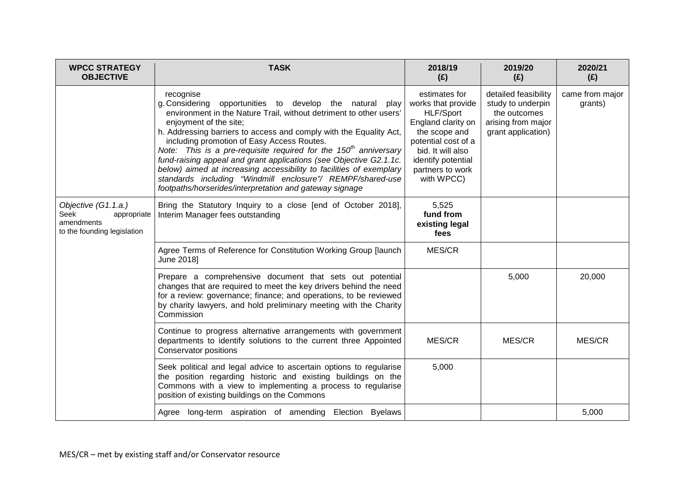| <b>WPCC STRATEGY</b><br><b>OBJECTIVE</b>                                                | <b>TASK</b>                                                                                                                                                                                                                                                                                                                                                                                                                                                                                                                                                                                                                           | 2018/19<br>(E)                                                                                                                                                                                     | 2019/20<br>(E)                                                                                        | 2020/21<br>(E)             |
|-----------------------------------------------------------------------------------------|---------------------------------------------------------------------------------------------------------------------------------------------------------------------------------------------------------------------------------------------------------------------------------------------------------------------------------------------------------------------------------------------------------------------------------------------------------------------------------------------------------------------------------------------------------------------------------------------------------------------------------------|----------------------------------------------------------------------------------------------------------------------------------------------------------------------------------------------------|-------------------------------------------------------------------------------------------------------|----------------------------|
|                                                                                         | recognise<br>g. Considering opportunities to develop the natural play<br>environment in the Nature Trail, without detriment to other users'<br>enjoyment of the site;<br>h. Addressing barriers to access and comply with the Equality Act,<br>including promotion of Easy Access Routes.<br>Note: This is a pre-requisite required for the $150th$ anniversary<br>fund-raising appeal and grant applications (see Objective G2.1.1c.<br>below) aimed at increasing accessibility to facilities of exemplary<br>standards including "Windmill enclosure"/ REMPF/shared-use<br>footpaths/horserides/interpretation and gateway signage | estimates for<br>works that provide<br><b>HLF/Sport</b><br>England clarity on<br>the scope and<br>potential cost of a<br>bid. It will also<br>identify potential<br>partners to work<br>with WPCC) | detailed feasibility<br>study to underpin<br>the outcomes<br>arising from major<br>grant application) | came from major<br>grants) |
| Objective (G1.1.a.)<br>Seek<br>appropriate<br>amendments<br>to the founding legislation | Bring the Statutory Inquiry to a close [end of October 2018],<br>Interim Manager fees outstanding                                                                                                                                                                                                                                                                                                                                                                                                                                                                                                                                     | 5,525<br>fund from<br>existing legal<br>fees                                                                                                                                                       |                                                                                                       |                            |
|                                                                                         | Agree Terms of Reference for Constitution Working Group [launch<br>June 2018]                                                                                                                                                                                                                                                                                                                                                                                                                                                                                                                                                         | MES/CR                                                                                                                                                                                             |                                                                                                       |                            |
|                                                                                         | Prepare a comprehensive document that sets out potential<br>changes that are required to meet the key drivers behind the need<br>for a review: governance; finance; and operations, to be reviewed<br>by charity lawyers, and hold preliminary meeting with the Charity<br>Commission                                                                                                                                                                                                                                                                                                                                                 |                                                                                                                                                                                                    | 5,000                                                                                                 | 20,000                     |
|                                                                                         | Continue to progress alternative arrangements with government<br>departments to identify solutions to the current three Appointed<br>Conservator positions                                                                                                                                                                                                                                                                                                                                                                                                                                                                            | MES/CR                                                                                                                                                                                             | MES/CR                                                                                                | MES/CR                     |
|                                                                                         | Seek political and legal advice to ascertain options to regularise<br>the position regarding historic and existing buildings on the<br>Commons with a view to implementing a process to regularise<br>position of existing buildings on the Commons                                                                                                                                                                                                                                                                                                                                                                                   | 5,000                                                                                                                                                                                              |                                                                                                       |                            |
|                                                                                         | Agree long-term aspiration of amending Election Byelaws                                                                                                                                                                                                                                                                                                                                                                                                                                                                                                                                                                               |                                                                                                                                                                                                    |                                                                                                       | 5,000                      |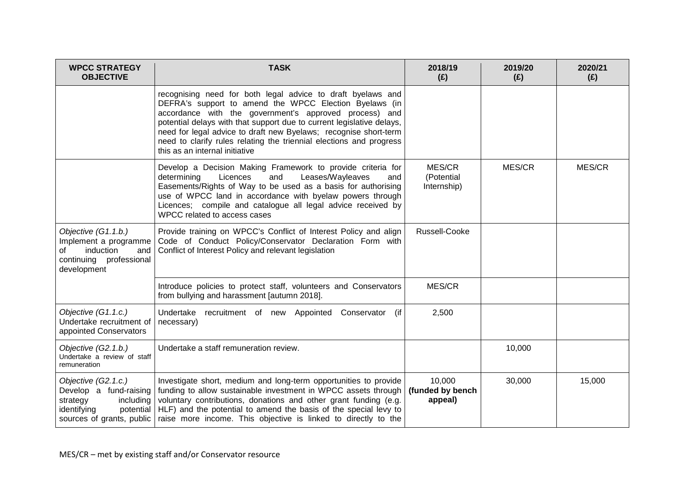| <b>WPCC STRATEGY</b><br><b>OBJECTIVE</b>                                                                                        | <b>TASK</b>                                                                                                                                                                                                                                                                                                                                                                                                                           | 2018/19<br>(E)                        | 2019/20<br>(E) | 2020/21<br>(E) |
|---------------------------------------------------------------------------------------------------------------------------------|---------------------------------------------------------------------------------------------------------------------------------------------------------------------------------------------------------------------------------------------------------------------------------------------------------------------------------------------------------------------------------------------------------------------------------------|---------------------------------------|----------------|----------------|
|                                                                                                                                 | recognising need for both legal advice to draft byelaws and<br>DEFRA's support to amend the WPCC Election Byelaws (in<br>accordance with the government's approved process) and<br>potential delays with that support due to current legislative delays,<br>need for legal advice to draft new Byelaws; recognise short-term<br>need to clarify rules relating the triennial elections and progress<br>this as an internal initiative |                                       |                |                |
|                                                                                                                                 | Develop a Decision Making Framework to provide criteria for<br>Leases/Wayleaves<br>Licences<br>determining<br>and<br>and<br>Easements/Rights of Way to be used as a basis for authorising<br>use of WPCC land in accordance with byelaw powers through<br>Licences; compile and catalogue all legal advice received by<br>WPCC related to access cases                                                                                | MES/CR<br>(Potential<br>Internship)   | MES/CR         | MES/CR         |
| Objective (G1.1.b.)<br>Implement a programme<br>induction<br>and  <br>of<br>continuing professional<br>development              | Provide training on WPCC's Conflict of Interest Policy and align<br>Code of Conduct Policy/Conservator Declaration Form with<br>Conflict of Interest Policy and relevant legislation                                                                                                                                                                                                                                                  | Russell-Cooke                         |                |                |
|                                                                                                                                 | Introduce policies to protect staff, volunteers and Conservators<br>from bullying and harassment [autumn 2018].                                                                                                                                                                                                                                                                                                                       | MES/CR                                |                |                |
| Objective (G1.1.c.)<br>Undertake recruitment of<br>appointed Conservators                                                       | Undertake recruitment of new Appointed Conservator (if<br>necessary)                                                                                                                                                                                                                                                                                                                                                                  | 2,500                                 |                |                |
| Objective (G2.1.b.)<br>Undertake a review of staff<br>remuneration                                                              | Undertake a staff remuneration review.                                                                                                                                                                                                                                                                                                                                                                                                |                                       | 10,000         |                |
| Objective (G2.1.c.)<br>Develop a fund-raising<br>strategy<br>including<br>identifying<br>potential<br>sources of grants, public | Investigate short, medium and long-term opportunities to provide<br>funding to allow sustainable investment in WPCC assets through<br>voluntary contributions, donations and other grant funding (e.g.<br>HLF) and the potential to amend the basis of the special levy to<br>raise more income. This objective is linked to directly to the                                                                                          | 10,000<br>(funded by bench<br>appeal) | 30,000         | 15,000         |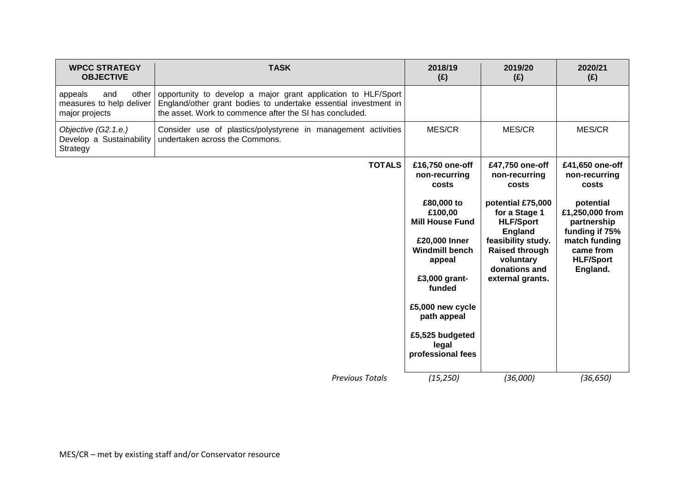| <b>WPCC STRATEGY</b><br><b>OBJECTIVE</b>                              | <b>TASK</b>                                                                                                                                                                                 | 2018/19<br>(E)                                   | 2019/20<br>(E)                                                            | 2020/21<br>(E)                                                |
|-----------------------------------------------------------------------|---------------------------------------------------------------------------------------------------------------------------------------------------------------------------------------------|--------------------------------------------------|---------------------------------------------------------------------------|---------------------------------------------------------------|
| other<br>appeals<br>and<br>measures to help deliver<br>major projects | opportunity to develop a major grant application to HLF/Sport<br>England/other grant bodies to undertake essential investment in<br>the asset. Work to commence after the SI has concluded. |                                                  |                                                                           |                                                               |
| Objective (G2.1.e.)<br>Develop a Sustainability<br>Strategy           | Consider use of plastics/polystyrene in management activities<br>undertaken across the Commons.                                                                                             | MES/CR                                           | MES/CR                                                                    | MES/CR                                                        |
|                                                                       | <b>TOTALS</b>                                                                                                                                                                               | £16,750 one-off<br>non-recurring<br>costs        | £47,750 one-off<br>non-recurring<br>costs                                 | £41,650 one-off<br>non-recurring<br>costs                     |
|                                                                       |                                                                                                                                                                                             | £80,000 to<br>£100,00<br><b>Mill House Fund</b>  | potential £75,000<br>for a Stage 1<br><b>HLF/Sport</b><br><b>England</b>  | potential<br>£1,250,000 from<br>partnership<br>funding if 75% |
|                                                                       |                                                                                                                                                                                             | £20,000 Inner<br><b>Windmill bench</b><br>appeal | feasibility study.<br><b>Raised through</b><br>voluntary<br>donations and | match funding<br>came from<br><b>HLF/Sport</b><br>England.    |
|                                                                       |                                                                                                                                                                                             | £3,000 grant-<br>funded                          | external grants.                                                          |                                                               |
|                                                                       |                                                                                                                                                                                             | £5,000 new cycle<br>path appeal                  |                                                                           |                                                               |
|                                                                       |                                                                                                                                                                                             | £5,525 budgeted<br>legal<br>professional fees    |                                                                           |                                                               |
|                                                                       | <b>Previous Totals</b>                                                                                                                                                                      | (15, 250)                                        | (36,000)                                                                  | (36, 650)                                                     |